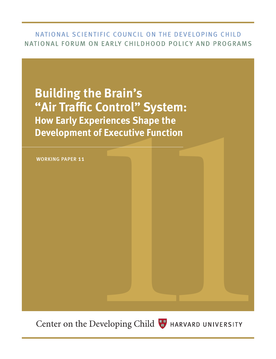# NATIONAL SCIENTIFIC COUNCIL ON THE DEVELOPING CHILD NATIONAL FORUM ON EARLY CHILDHOOD POLICY AND PROGRAMS

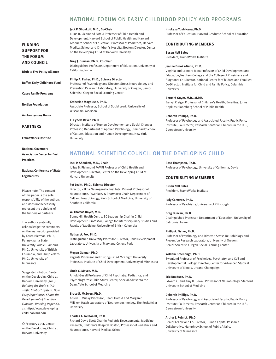# NATIONAL FORUM ON EARLY CHILDHOOD POLICY AND PROGRAMS

#### **Jack P. Shonkoff, M.D., Co-Chair**

Julius B. Richmond FAMRI Professor of Child Health and Development, Harvard School of Public Health and Harvard Graduate School of Education; Professor of Pediatrics, Harvard Medical School and Children's Hospital Boston; Director, Center on the Developing Child at Harvard University

**Greg J. Duncan, Ph.D., Co-Chair** Distinguished Professor, Department of Education, University of California, Irvine

### **Philip A. Fisher, Ph.D., Science Director**

Professor of Psychology and Director, Stress Neurobiology and Prevention Research Laboratory, University of Oregon; Senior Scientist, Oregon Social Learning Center

**Katherine Magnuson, Ph.D.**

Associate Professor, School of Social Work, University of Wisconsin, Madison

#### **C. Cybele Raver, Ph.D.**

Director, Institute of Human Development and Social Change; Professor, Department of Applied Psychology, Steinhardt School of Culture, Education and Human Development, New York University

### **Hirokazu Yoshikawa, Ph.D.**

Professor of Education, Harvard Graduate School of Education

#### **CONTRIBUTING MEMBERS**

#### **Susan Nall Bales**

President, FrameWorks Institute

### **Jeanne Brooks-Gunn, Ph.D.**

Virginia and Leonard Marx Professor of Child Development and Education,Teachers College and the College of Physicians and Surgeons; Co-Director, National Center for Children and Families; Co-Director, Institute for Child and Family Policy, Columbia University

### **Bernard Guyer, M.D., M.P.H.**

Zanvyl Kreiger Professor of Children's Health, Emeritus, Johns Hopkins Bloomberg School of Public Health

#### **Deborah Phillips, Ph.D.**

Professor of Psychology and Associated Faculty, Public Policy Institute; Co-Director, Research Center on Children in the U.S., Georgetown University

## NATIONAL SCIENTIFIC COUNCIL ON THE DEVELOPING CHILD

### **Jack P. Shonkoff, M.D., Chair**

Julius B. Richmond FAMRI Professor of Child Health and Development; Director, Center on the Developing Child at Harvard University

### **Pat Levitt, Ph.D., Science Director**

Director, Zilkha Neurogenetic Institute; Provost Professor of Neuroscience, Psychiatry & Pharmacy; Chair, Department of Cell and Neurobiology, Keck School of Medicine, University of Southern California

#### **W. Thomas Boyce, M.D.**

Sunny Hill Health Centre/BC Leadership Chair in Child Development; Professor, College for Interdisciplinary Studies and Faculty of Medicine, University of British Columbia

#### **Nathan A. Fox, Ph.D.**

Distinguished University Professor; Director, Child Development Laboratory, University of Maryland College Park

#### **Megan Gunnar, Ph.D.**

Regents Professor and Distinguished McKnight University Professor, Institute of Child Development, University of Minnesota

#### **Linda C. Mayes, M.D.**

Arnold Gesell Professor of Child Psychiatry, Pediatrics, and Psychology, Yale Child Study Center; Special Advisor to the Dean, Yale School of Medicine

### **Bruce S. McEwen, Ph.D.**

Alfred E. Mirsky Professor; Head, Harold and Margaret Milliken Hatch Laboratory of Neuroendocrinology, The Rockefeller University

### **Charles A. Nelson III, Ph.D.**

Richard David Scott Chair in Pediatric Developmental Medicine Research, Children's Hospital Boston; Professor of Pediatrics and Neuroscience, Harvard Medical School

#### **Ross Thompson, Ph.D.**

Professor of Psychology, University of California, Davis

## **CONTRIBUTING MEMBERS**

### **Susan Nall Bales** President, FrameWorks Institute

### **Judy Cameron, Ph.D.**

Professor of Psychiatry, University of Pittsburgh

#### **Greg Duncan, Ph.D.**

Distinguished Professor, Department of Education, University of California, Irvine

### **Philip A. Fisher, Ph.D.**

Professor of Psychology and Director, Stress Neurobiology and Prevention Research Laboratory, University of Oregon; Senior Scientist, Oregon Social Learning Center

### **William Greenough, Ph.D.**

Swanlund Professor of Psychology, Psychiatry, and Cell and Developmental Biology; Director, Center for Advanced Study at University of Illinois, Urbana-Champaign

### **Eric Knudsen, Ph.D.**

Edward C. and Amy H. Sewall Professor of Neurobiology, Stanford University School of Medicine

### **Deborah Phillips, Ph.D.**

Professor of Psychology and Associated Faculty, Public Policy Institute; Co-Director, Research Center on Children in the U.S., Georgetown University

### **Arthur J. Rolnick, Ph.D.**

Senior Fellow and Co-Director, Human Capital Research Collaborative, Humphrey School of Public Affairs, University of Minnesota

**AND COUNCIL**

**FUNDING SUPPORT FOR THE FORUM** 

## **Birth to Five Policy Alliance**

**Buffett Early Childhood Fund**

**Casey Family Programs**

**Norlien Foundation**

**An Anonymous Donor**

#### **PARTNERS**

**FrameWorks Institute**

**National Governors Association Center for Best Practices**

## **National Conference of State Legislatures**

Please note: The content of this paper is the sole responsibility of the authors and does not necessarily represent the opinions of the funders or partners.

The authors gratefully acknowledge the comments on the manuscript provided by Karen Bierman, Ph.D., Pennsylvania State University; Adele Diamond, Ph.D., University of British Columbia; and Philip Zelazo, Ph.D., University of Minnesota.

Suggested citation: Center on the Developing Child at Harvard University (2011). *Building the Brain's "Air Traffic Control" System: How Early Experiences Shape the Development of Executive Function: Working Paper No. 11*.<http://www.developing> child.harvard.edu

© February 2011, Center on the Developing Child at Harvard University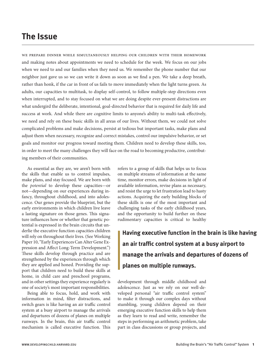# **The Issue**

we prepare dinner while simultaneously helping our children with their homework and making notes about appointments we need to schedule for the week. We focus on our jobs when we need to and our families when they need us. We remember the phone number that our neighbor just gave us so we can write it down as soon as we find a pen. We take a deep breath, rather than honk, if the car in front of us fails to move immediately when the light turns green. As adults, our capacities to multitask, to display self-control, to follow multiple-step directions even when interrupted, and to stay focused on what we are doing despite ever-present distractions are what undergird the deliberate, intentional, goal-directed behavior that is required for daily life and success at work. And while there are cognitive limits to anyone's ability to multi-task effectively, we need and rely on these basic skills in all areas of our lives. Without them, we could not solve complicated problems and make decisions, persist at tedious but important tasks, make plans and adjust them when necessary, recognize and correct mistakes, control our impulsive behavior, or set goals and monitor our progress toward meeting them. Children need to develop these skills, too, in order to meet the many challenges they will face on the road to becoming productive, contributing members of their communities.

As essential as they are, we aren't born with the skills that enable us to control impulses, make plans, and stay focused. We are born with the *potential* to develop these capacities—or not—depending on our experiences during infancy, throughout childhood, and into adolescence. Our genes provide the blueprint, but the early environments in which children live leave a lasting signature on those genes. This signature influences how or whether that genetic potential is expressed in the brain circuits that underlie the executive function capacities children will rely on throughout their lives. (See Working Paper 10, "Early Experiences Can Alter Gene Expression and Affect Long-Term Development.") These skills develop through practice and are strengthened by the experiences through which they are applied and honed. Providing the support that children need to build these skills at home, in child care and preschool programs, and in other settings they experience regularly is one of society's most important responsibilities.

Being able to focus, hold, and work with information in mind, filter distractions, and switch gears is like having an air traffic control system at a busy airport to manage the arrivals and departures of dozens of planes on multiple runways. In the brain, this air traffic control mechanism is called executive function. This refers to a group of skills that helps us to focus on multiple streams of information at the same time, monitor errors, make decisions in light of available information, revise plans as necessary, and resist the urge to let frustration lead to hasty actions. Acquiring the early building blocks of these skills is one of the most important and challenging tasks of the early childhood years, and the opportunity to build further on these rudimentary capacities is critical to healthy

**Having executive function in the brain is like having an air traffic control system at a busy airport to manage the arrivals and departures of dozens of planes on multiple runways.**

development through middle childhood and adolescence. Just as we rely on our well-developed personal "air traffic control system" to make it through our complex days without stumbling, young children depend on their emerging executive function skills to help them as they learn to read and write, remember the steps in performing an arithmetic problem, take part in class discussions or group projects, and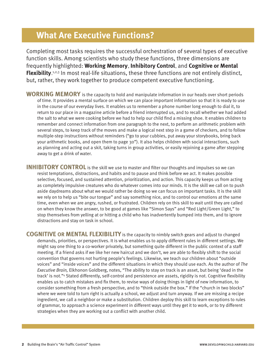# **What Are Executive Functions?**

Completing most tasks requires the successful orchestration of several types of executive function skills. Among scientists who study these functions, three dimensions are frequently highlighted: **Working Memory**, **Inhibitory Control**, and **Cognitive or Mental Flexibility**. 1,2,3 In most real-life situations, these three functions are not entirely distinct, but, rather, they work together to produce competent executive functioning.

**WORKING MEMORY** is the capacity to hold and manipulate information in our heads over short periods of time. It provides a mental surface on which we can place important information so that it is ready to use in the course of our everyday lives. It enables us to remember a phone number long enough to dial it, to return to our place in a magazine article before a friend interrupted us, and to recall whether we had added the salt to what we were cooking before we had to help our child find a missing shoe. It enables children to remember and connect information from one paragraph to the next, to perform an arithmetic problem with several steps, to keep track of the moves and make a logical next step in a game of checkers, and to follow multiple-step instructions without reminders ("go to your cubbies, put away your storybooks, bring back your arithmetic books, and open them to page 30"). It also helps children with social interactions, such as planning and acting out a skit, taking turns in group activities, or easily rejoining a game after stepping away to get a drink of water.

**INHIBITORY CONTROL** is the skill we use to master and filter our thoughts and impulses so we can resist temptations, distractions, and habits and to pause and think before we act. It makes possible selective, focused, and sustained attention, prioritization, and action. This capacity keeps us from acting as completely impulsive creatures who do whatever comes into our minds. It is the skill we call on to push aside daydreams about what we would rather be doing so we can focus on important tasks. It is the skill we rely on to help us "bite our tongue" and say something nice, and to control our emotions at the same time, even when we are angry, rushed, or frustrated. Children rely on this skill to wait until they are called on when they know the answer, to be good at games like "Simon Says" and "Red Light/Green Light," to stop themselves from yelling at or hitting a child who has inadvertently bumped into them, and to ignore distractions and stay on task in school.

**COGNITIVE OR MENTAL FLEXIBILITY** is the capacity to nimbly switch gears and adjust to changed demands, priorities, or perspectives. It is what enables us to apply different rules in different settings. We might say one thing to a co-worker privately, but something quite different in the public context of a staff meeting. If a friend asks if we like her new haircut and we don't, we are able to flexibly shift to the social convention that governs not hurting people's feelings. Likewise, we teach our children about "outside voices" and "inside voices" and the different situations in which they should use each. As the author of *The Executive Brain,* Elkhonon Goldberg, notes, "The ability to stay on track is an asset, but being 'dead in the track' is not."4 Stated differently, self-control and persistence are assets, rigidity is not. Cognitive flexibility enables us to catch mistakes and fix them, to revise ways of doing things in light of new information, to consider something from a fresh perspective, and to "think outside the box." If the "church in two blocks" where we were told to turn right is actually a school, we adjust and turn anyway. If we are missing a recipe ingredient, we call a neighbor or make a substitution. Children deploy this skill to learn exceptions to rules of grammar, to approach a science experiment in different ways until they get it to work, or to try different strategies when they are working out a conflict with another child.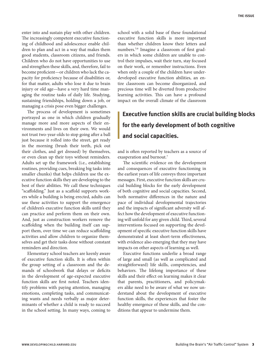enter into and sustain play with other children. The increasingly competent executive functioning of childhood and adolescence enable children to plan and act in a way that makes them good students, classroom citizens, and friends. Children who do not have opportunities to use and strengthen these skills, and, therefore, fail to become proficient-or children who lack the capacity for proficiency because of disabilities or, for that matter, adults who lose it due to brain injury or old age—have a very hard time managing the routine tasks of daily life. Studying, sustaining friendships, holding down a job, or managing a crisis pose even bigger challenges.

The process of development is sometimes portrayed as one in which children gradually manage more and more aspects of their environments and lives on their own. We would not trust two-year-olds to stop going after a ball just because it rolled into the street, get ready in the morning (brush their teeth, pick out their clothes, and get dressed) by themselves, or even clean up their toys without reminders. Adults set up the framework (i.e., establishing routines, providing cues, breaking big tasks into smaller chunks) that helps children use the executive function skills they are developing to the best of their abilities. We call these techniques "scaffolding." Just as a scaffold supports workers while a building is being erected, adults can use these activities to support the emergence of children's executive function skills until they can practice and perform them on their own. And, just as construction workers remove the scaffolding when the building itself can support them, over time we can reduce scaffolding activities and allow children to organize themselves and get their tasks done without constant reminders and direction.

Elementary school teachers are keenly aware of executive function skills. It is often within the group setting of a classroom and the demands of schoolwork that delays or deficits in the development of age-expected executive function skills are first noted. Teachers identify problems with paying attention, managing emotions, completing tasks, and communicating wants and needs verbally as major determinants of whether a child is ready to succeed in the school setting. In many ways, coming to school with a solid base of these foundational executive function skills is more important than whether children know their letters and numbers.<sup>5,6</sup> Imagine a classroom of first graders in which some children are unable to control their impulses, wait their turn, stay focused on their work, or remember instructions. Even when only a couple of the children have underdeveloped executive function abilities, an entire classroom can become disorganized, and precious time will be diverted from productive learning activities. This can have a profound impact on the overall climate of the classroom

# **Executive function skills are crucial building blocks for the early development of both cognitive and social capacities.**

and is often reported by teachers as a source of exasperation and burnout.<sup>7</sup>

The scientific evidence on the development and consequences of executive functioning in the earliest years of life conveys three important messages. First, executive function skills are crucial building blocks for the early development of both cognitive and social capacities. Second, both normative differences in the nature and pace of individual developmental trajectories and the impacts of significant adversity will affect how the development of executive functioning will unfold for any given child. Third, several interventions focused on supporting the development of specific executive function skills have demonstrated at least short-term effectiveness, with evidence also emerging that they may have impacts on other aspects of learning as well.

Executive functions underlie a broad range of large and small (as well as complicated and straightforward) life skills, competencies, and behaviors. The lifelong importance of these skills and their effect on learning makes it clear that parents, practitioners, and policymakers alike need to be aware of what we now understand about the development of executive function skills, the experiences that foster the healthy emergence of these skills, and the conditions that appear to undermine them.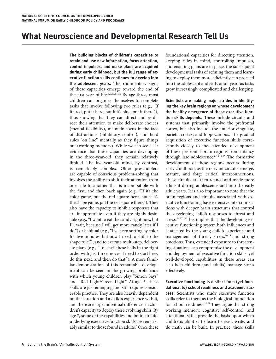# **What Neuroscience and Developmental Research Tell Us**

**The building blocks of children's capacities to retain and use new information, focus attention, control impulses, and make plans are acquired during early childhood, but the full range of executive function skills continues to develop into the adolescent years.** The rudimentary signs of these capacities emerge toward the end of the first year of life. $8,9,10,11,12$  By age three, most children can organize themselves to complete tasks that involve following two rules (e.g., "If it's red, put it here, but if it's blue, put it there."), thus showing that they can direct and re-direct their attention to make deliberate choices (mental flexibility), maintain focus in the face of distractions (inhibitory control), and hold rules "on line" mentally as they figure things out (working memory). While we can see clear evidence that these capacities are developing in the three-year-old, they remain relatively limited. The five-year-old mind, by contrast, is remarkably complex. Older preschoolers are capable of conscious problem-solving that involves the ability to shift their attention from one rule to another that is incompatible with the first, and then back again (e.g., "If it's the color game, put the red square here, but if it's the shape game, put the red square there."). They also have the capacity to inhibit responses that are inappropriate even if they are highly desirable (e.g., "I want to eat the candy right now, but I'll wait, because I will get more candy later if I do.") or habitual (e.g., "I've been sorting by color for five minutes, but now I need to shift to the shape rule."), and to execute multi-step, deliberate plans (e.g., "To stack these balls in the right order with just three moves, I need to start here, do this next, and then do that."). A more familiar demonstration of this remarkable development can be seen in the growing proficiency with which young children play "Simon Says" and "Red Light/Green Light." At age 5, these skills are just emerging and still require considerable practice. They are also heavily dependent on the situation and a child's experience with it, and there are large individual differences in children's capacity to deploy these evolving skills. By age 7, some of the capabilities and brain circuits underlying executive function skills are remarkably similar to those found in adults.<sup>3</sup> Once these foundational capacities for directing attention, keeping rules in mind, controlling impulses, and enacting plans are in place, the subsequent developmental tasks of refining them and learning to deploy them more efficiently can proceed into the adolescent and early adult years as tasks grow increasingly complicated and challenging.

**Scientists are making major strides in identifying the key brain regions on whose development the healthy emergence of these executive function skills depends.** These include circuits and systems that primarily involve the prefrontal cortex, but also include the anterior cingulate, parietal cortex, and hippocampus. The gradual acquisition of executive function skills corresponds closely to the extended development of these prefrontal brain regions from infancy through late adolescence.<sup>8,13,14,15</sup> The formative development of these regions occurs during early childhood, as the relevant circuits emerge, mature, and forge critical interconnections. These circuits are then refined and made more efficient during adolescence and into the early adult years. It is also important to note that the brain regions and circuits associated with executive functioning have extensive interconnections with deeper brain structures that control the developing child's responses to threat and stress.<sup>16,17,18</sup> This implies that the developing executive functioning system both influences and is affected by the young child's experience and management of threat, stress,<sup>10,19</sup> and strong emotions. Thus, extended exposure to threatening situations can compromise the development and deployment of executive function skills, yet well-developed capabilities in these areas can also help children (and adults) manage stress effectively.

**Executive functioning is distinct from (yet foundational to) school readiness and academic success.** Scientists who study executive function skills refer to them as the biological foundation for school readiness.<sup>20,21</sup> They argue that strong working memory, cognitive self-control, and attentional skills provide the basis upon which children's abilities to learn to read, write, and do math can be built. In practice, these skills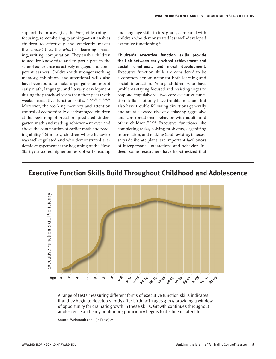support the process (i.e., the *how*) of learning focusing, remembering, planning—that enables children to effectively and efficiently master the *content* (i.e., the *what*) of learning—reading, writing, computation. They enable children to acquire knowledge and to participate in the school experience as actively engaged and competent learners. Children with stronger working memory, inhibition, and attentional skills also have been found to make larger gains on tests of early math, language, and literacy development during the preschool years than their peers with weaker executive function skills.22,23,24,25,26,27,28,29 Moreover, the working memory and attention control of economically disadvantaged children at the beginning of preschool predicted kindergarten math and reading achievement over and above the contribution of earlier math and reading ability.30 Similarly, children whose behavior was well-regulated and who demonstrated academic engagement at the beginning of the Head Start year scored higher on tests of early reading

and language skills in first grade, compared with children who demonstrated less well-developed executive functioning.<sup>31</sup>

**Children's executive function skills provide the link between early school achievement and social, emotional, and moral development.**  Executive function skills are considered to be a common denominator for both learning and social interaction. Young children who have problems staying focused and resisting urges to respond impulsively—two core executive function skills—not only have trouble in school but also have trouble following directions generally and are at elevated risk of displaying aggressive and confrontational behavior with adults and other children.32,33,34 Executive functions like completing tasks, solving problems, organizing information, and making (and revising, if necessary) deliberate plans, are important facilitators of interpersonal interactions and behavior. Indeed, some researchers have hypothesized that

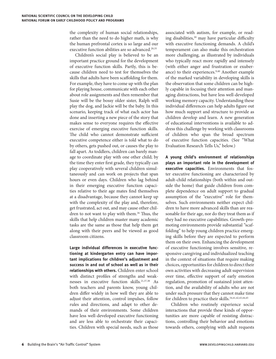the complexity of human social relationships, rather than the need to do higher math, is why the human prefrontal cortex is so large and our executive function abilities are so advanced.<sup>20,35</sup>

Children's social play is believed to be an important practice ground for the development of executive function skills. Partly, this is because children need to test for themselves the skills that adults have been scaffolding for them. For example, they have to come up with the plan for playing house, communicate with each other about role assignments and then remember that Susie will be the bossy older sister, Ralph will play the dog, and Jackie will be the baby. In this scenario, keeping track of what each actor has done and inserting a new piece of the story that makes sense to everyone requires the effective exercise of emerging executive function skills. The child who cannot demonstrate sufficient executive competence either is told what to do by others, gets pushed out, or causes the play to fall apart. As toddlers, children can barely manage to coordinate play with one other child; by the time they enter first grade, they typically can play cooperatively with several children simultaneously and can work on projects that span hours or even days. Children who lag behind in their emerging executive function capacities relative to their age mates find themselves at a disadvantage, because they cannot keep up with the complexity of the play and, therefore, get frustrated, act out, and may cause other children to not want to play with them.<sup>36</sup> Thus, the skills that help children master many academic tasks are the same as those that help them get along with their peers and be viewed as good classroom citizens.

**Large individual differences in executive functioning at kindergarten entry can have important implications for children's adjustment and success in and out of school as well as in their relationships with others.** Children enter school with distinct profiles of strengths and weaknesses in executive function skills.21,37,38 As both teachers and parents know, young children differ widely in how well they are able to adjust their attention, control impulses, follow rules and directions, and adapt to other demands of their environments. Some children have less well-developed executive functioning and are less able to orchestrate their capacities. Children with special needs, such as those

associated with autism, for example, or reading disabilities,<sup>39</sup> may have particular difficulty with executive functioning demands. A child's temperament can also make this orchestration more challenging, as illustrated by individuals who typically react more rapidly and intensely (with either anger and frustration or exuberance) to their experiences.<sup>9,40</sup> Another example of the marked variability in developing skills is the observation that some children can be highly capable in focusing their attention and managing distractions, but have less well-developed working memory capacity. Understanding these individual differences can help adults figure out how much support and structure to provide as children develop and learn. A new generation of educational interventions is available to address this challenge by working with classrooms of children who span the broad spectrum of executive function capacities. (See "What Evaluation Research Tells Us," below.)

**A young child's environment of relationships plays an important role in the development of executive capacities.** Environments that foster executive functioning are characterized by adult-child relationships (both within and outside the home) that guide children from complete dependence on adult support to gradual assumption of the "executive" role for themselves. Such environments neither expect children to have more advanced skills than are reasonable for their age, nor do they treat them as if they had no executive capabilities. Growth-promoting environments provide substantial "scaffolding" to help young children practice emerging skills before they are expected to perform them on their own. Enhancing the development of executive functioning involves sensitive, responsive caregiving and individualized teaching in the context of situations that require making choices, opportunities for children to direct their own activities with decreasing adult supervision over time, effective support of early emotion regulation, promotion of sustained joint attention, and the availability of adults who are not under such pressure that they cannot make time for children to practice their skills.<sup>34,41,42,43,44,45</sup>

Children who routinely experience social interactions that provide these kinds of opportunities are more capable of resisting distractions, controlling their behavior and emotions towards others, complying with adult requests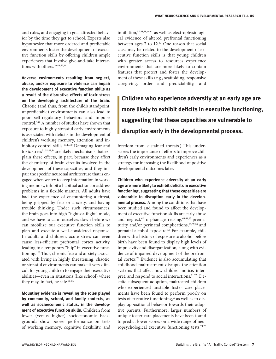and rules, and engaging in goal-directed behavior by the time they get to school. Experts also hypothesize that more ordered and predictable environments foster the development of executive function skills by offering children ample experiences that involve give-and-take interactions with others.<sup>20,46,47,48</sup>

**Adverse environments resulting from neglect, abuse, and/or exposure to violence can impair the development of executive function skills as a result of the disruptive effects of toxic stress on the developing architecture of the brain.**  Chaotic (and thus, from the child's standpoint, unpredictable) environments can also lead to poor self-regulatory behaviors and impulse control.104 A number of studies have shown that exposure to highly stressful early environments is associated with deficits in the development of children's working memory, attention, and inhibitory control skills.<sup>45,49,50</sup> Damaging fear and toxic stress<sup>51,52,53,54</sup> are likely mechanisms that explain these effects, in part, because they affect the chemistry of brain circuits involved in the development of these capacities, and they impair the specific neuronal architecture that is engaged when we try to keep information in working memory, inhibit a habitual action, or address problems in a flexible manner. All adults have had the experience of encountering a threat, being gripped by fear or anxiety, and having trouble thinking. Under such circumstances, the brain goes into high "fight-or-flight" mode, and we have to calm ourselves down before we can mobilize our executive function skills to plan and execute a well-considered response. In adults and children, acute stress can even cause less-efficient prefrontal cortex activity, leading to a temporary "blip" in executive functioning.<sup>105</sup> Thus, chronic fear and anxiety associated with living in highly threatening, chaotic, or stressful environments can make it very difficult for young children to engage their executive abilities—even in situations (like school) where they may, in fact, be safe.<sup>55,56</sup>

**Mounting evidence is revealing the roles played by community, school, and family contexts, as well as socioeconomic status, in the development of executive function skills.** Children from lower (versus higher) socioeconomic backgrounds show poorer performance on tests of working memory, cognitive flexibility, and

inhibition,57,58,59,60,61 as well as electrophysiological evidence of altered prefrontal functioning between ages 7 to 12.<sup>57</sup> One reason that social class may be related to the development of executive function skills is that young children with greater access to resources experience environments that are more likely to contain features that protect and foster the development of these skills (e.g., scaffolding, responsive caregiving, order and predictability, and

# **Children who experience adversity at an early age are more likely to exhibit deficits in executive functioning, suggesting that these capacities are vulnerable to disruption early in the developmental process.**

freedom from sustained threats.) This underscores the importance of efforts to improve children's early environments and experiences as a strategy for increasing the likelihood of positive developmental outcomes later.

**Children who experience adversity at an early age are more likely to exhibit deficits in executive functioning, suggesting that these capacities are vulnerable to disruption early in the developmental process.** Among the conditions that have been studied and found to affect the development of executive function skills are early abuse and neglect,<sup>62</sup> orphanage rearing,<sup>63,64,65</sup> prematurity and/or perinatal complications,<sup>66,67,68</sup> and prenatal alcohol exposure.<sup>69</sup> For example, children with a history of exposure to alcohol before birth have been found to display high levels of impulsivity and disorganization, along with evidence of impaired development of the prefrontal cortex.70 Evidence is also accumulating that childhood maltreatment disrupts the attention systems that affect how children notice, interpret, and respond to social interactions.<sup>71,72</sup> Despite subsequent adoption, maltreated children who experienced unstable foster care placements have been found to perform poorly on tests of executive functioning,<sup>73</sup> as well as to display oppositional behavior towards their adoptive parents. Furthermore, larger numbers of unique foster care placements have been found to predict lower scores on a wide range of neuropsychological executive functioning tests,<sup>74,75</sup>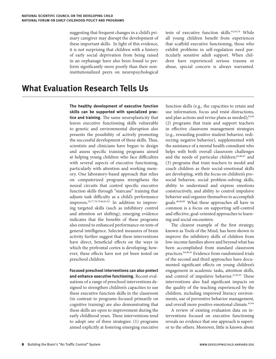suggesting that frequent changes in a child's primary caregiver may disrupt the development of these important skills. In light of this evidence, it is not surprising that children with a history of early social deprivation from being raised in an orphanage have also been found to perform significantly more poorly than their noninstitutionalized peers on neuropsychological tests of executive function skills.<sup>63,64,76</sup> While all young children benefit from experiences that scaffold executive functioning, those who exhibit problems in self-regulation need particularly sensitive adult support. When children have experienced serious trauma or abuse, special concern is always warranted.

# **What Evaluation Research Tells Us**

**The healthy development of executive function skills can be supported with specialized practice and training.** The same neuroplasticity that leaves executive functioning skills vulnerable to genetic and environmental disruption also presents the possibility of actively promoting the successful development of these skills. Thus, scientists and clinicians have begun to design and assess specific training programs aimed at helping young children who face difficulties with several aspects of executive functioning, particularly with attention and working memory. One laboratory-based approach that relies on computerized programs strengthens the neural circuits that control specific executive function skills through "staircase" training that adjusts task difficulty as a child's performance improves.10,77,78,79,80,81,82 In addition to improving targeted skills (such as inhibitory control and attention set shifting), emerging evidence indicates that the benefits of these programs also extend to enhanced performance on tests of general intelligence. Selected measures of brain activity further suggest that these interventions have direct, beneficial effects on the ways in which the prefrontal cortex is developing; however, these effects have not yet been tested on preschool children.

**Focused preschool interventions can also protect and enhance executive functioning.** Recent evaluations of a range of preschool interventions designed to strengthen children's capacities to use these executive function skills in the classroom (in contrast to programs focused primarily on cognitive training) are also demonstrating that these skills are open to improvement during the early childhood years. These interventions tend to adopt one of three strategies: (1) programs aimed explicitly at fostering emerging executive

function skills (e.g., the capacities to retain and use information, focus and resist distractions, and plan actions and revise plans as needed);<sup>83,84</sup> (2) programs that train and support teachers in effective classroom management strategies (e.g., rewarding positive student behavior, redirecting negative behavior), supplemented with the assistance of a mental health consultant who helps with both overall classroom challenges and the needs of particular children;85,86,87 and (3) programs that train teachers to model and coach children as their social-emotional skills are developing, with the focus on children's prosocial behavior, social problem-solving skills, ability to understand and express emotions constructively, and ability to control impulsive behavior and organize themselves to accomplish goals.48,88,89 What these approaches all have in common is a focus on supporting self-control and effective, goal-oriented approaches to learning and social encounters.

The clearest example of the first strategy, known as Tools of the Mind, has been shown to improve the inhibitory skills of children from low-income families above and beyond what has been accomplished from standard classroom practices.84,90,91 Evidence from randomized trials of the second and third approaches have documented significant effects on young children's engagement in academic tasks, attention skills, and control of impulsive behavior.<sup>22,92,93</sup> These interventions also had significant impacts on the quality of the teaching experienced by the children, including improved literacy environments, use of preventive behavior management, and overall more positive emotional climate.<sup>83,94</sup>

A review of existing evaluation data on interventions focused on executive functioning reveals no evidence that one approach is superior to the others. Moreover, little is known about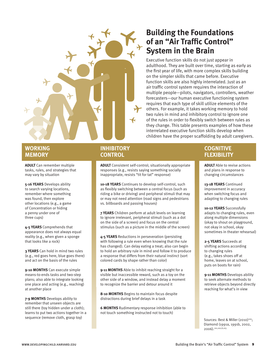

# **WORKING MEMORY**

**ADULT** Can remember multiple tasks, rules, and strategies that may vary by situation

**5-16 YEARS** Develops ability to search varying locations, remember where something was found, then explore other locations (e.g., a game of Concentration or hiding a penny under one of three cups)

**4-5 YEARS** Comprehends that appearance does not always equal reality (e.g., when given a sponge that looks like a rock)

**3 YEARS** Can hold in mind two rules (e.g., red goes here, blue goes there) and act on the basis of the rules

**9-10 MONTHS** Can execute simple means-to-ends tasks and two-step plans; also able to integrate looking one place and acting (e.g., reaching) at another place

**7-9 MONTHS** Develops ability to remember that unseen objects are still there (toy hidden under a cloth); learns to put two actions together in a sequence (remove cloth, grasp toy)

# **INHIBITORY CONTROL**

**ADULT** Consistent self-control; situationally appropriate responses (e.g., resists saying something socially inappropriate, resists "tit for tat" response)

10-18 YEARS Continues to develop self-control, such as flexibly switching between a central focus (such as riding a bike or driving) and peripheral stimuli that may or may not need attention (road signs and pedestrians vs. billboards and passing houses)

**7 YEARS** Children perform at adult levels on learning to ignore irrelevant, peripheral stimuli (such as a dot on the side of a screen) and focus on the central stimulus (such as a picture in the middle of the screen)

**4-5 YEARS** Reductions in perseveration (persisting with following a rule even when knowing that the rule has changed). Can delay eating a treat; also can begin to hold an arbitrary rule in mind and follow it to produce a response that differs from their natural instinct (sort colored cards by shape rather than color)

**9-11 MONTHS** Able to inhibit reaching straight for a visible but inaccessible reward, such as a toy on the other side of a window, and instead delay a moment to recognize the barrier and detour around it

**8-10 MONTHS** Begins to maintain focus despite distractions during brief delays in a task

**6 MONTHS** Rudimentary response inhibition (able to not touch something instructed not to touch)

# **Building the Foundations of an "Air Traffic Control" System in the Brain**

Executive function skills do not just appear in adulthood. They are built over time, starting as early as the first year of life, with more complex skills building on the simpler skills that came before. Executive function skills are also highly interrelated. Just as an air traffic control system requires the interaction of multiple people—pilots, navigators, controllers, weather forecasters—our human executive functioning system requires that each type of skill utilize elements of the others. For example, it takes working memory to hold two rules in mind and inhibitory control to ignore one of the rules in order to flexibly switch between rules as they change. This table presents examples of how these interrelated executive function skills develop when children have the proper scaffolding by adult caregivers.

# **COGNITIVE FLEXIBILITY**

**ADULT** Able to revise actions and plans in response to changing circumstances

**13-18 YEARS** Continued improvement in accuracy when switching focus and adapting to changing rules

**10-12 YEARS** Successfully adapts to changing rules, even along multiple dimensions (okay to shout on playground, not okay in school, okay sometimes in theater rehearsal)

**2-5 YEARS** Succeeds at shifting actions according to changing rules (e.g., takes shoes off at home, leaves on at school, puts on boots for rain)

**9-11 MONTHS** Develops ability to seek alternate methods to retrieve objects beyond directly reaching for what's in view

Sources: Best & Miller (2010)<sup>100</sup>; Diamond (1991a, 1991b, 2002, 2006).101,102,8,103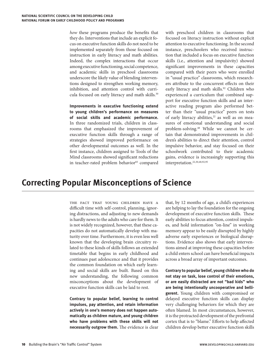*how* these programs produce the benefits that they do. Interventions that include an explicit focus on executive function skills do not need to be implemented separately from those focused on instruction in early literacy and math abilities. Indeed, the complex interactions that occur among executive functioning, social competence, and academic skills in preschool classrooms underscore the likely value of blending interventions designed to strengthen working memory, inhibition, and attention control with curricula focused on early literacy and math skills.<sup>30</sup>

**Improvements in executive functioning extend to young children's performance on measures of social skills and academic performance.** In three randomized trials, children in classrooms that emphasized the improvement of executive function skills through a range of strategies showed improved performance on other developmental outcomes as well. In the first instance, children assigned to Tools of the Mind classrooms showed significant reductions in teacher-rated problem behavior<sup>83</sup> compared

with preschool children in classrooms that focused on literacy instruction without explicit attention to executive functioning. In the second instance, preschoolers who received instruction that included a focus on executive function skills (i.e., attention and impulsivity) showed significant improvements in these capacities compared with their peers who were enrolled in "usual practice" classrooms, which researchers attribute to the concurrent effects on their early literacy and math skills.<sup>92</sup> Children who experienced a curriculum that combined support for executive function skills and an interactive reading program also performed better than their "usual practice" peers on tests of early literacy abilities,<sup>22</sup> as well as on measures of emotional understanding and social problem-solving.48 While we cannot be certain that demonstrated improvements in children's abilities to direct their attention, control impulsive behavior, and stay focused on their schoolwork contributed to their academic gains, evidence is increasingly supporting this interpretation.22,30,48,92,95

# **Correcting Popular Misconceptions of Science**

the fact that young children have a difficult time with self-control, planning, ignoring distractions, and adjusting to new demands is hardly news to the adults who care for them. It is not widely recognized, however, that these capacities do not automatically develop with maturity over time. Furthermore, it is even less well known that the developing brain circuitry related to these kinds of skills follows an extended timetable that begins in early childhood and continues past adolescence and that it provides the common foundation on which early learning and social skills are built. Based on this new understanding, the following common misconceptions about the development of executive function skills can be laid to rest.

**Contrary to popular belief, learning to control impulses, pay attention, and retain information actively in one's memory does not happen automatically as children mature, and young children who have problems with these skills will not necessarily outgrow them.** The evidence is clear

that, by 12 months of age, a child's experiences are helping to lay the foundation for the ongoing development of executive function skills. These early abilities to focus attention, control impulses, and hold information "on-line" in working memory appear to be easily disrupted by highly adverse early experiences or biological disruptions. Evidence also shows that early interventions aimed at improving these capacities before a child enters school can have beneficial impacts across a broad array of important outcomes.

**Contrary to popular belief, young children who do not stay on task, lose control of their emotions, or are easily distracted are not "bad kids" who are being intentionally uncooperative and belligerent.** Young children with compromised or delayed executive function skills can display very challenging behaviors for which they are often blamed. In most circumstances, however, it is the protracted development of the prefrontal cortex that is to "blame." Efforts to help affected children develop better executive function skills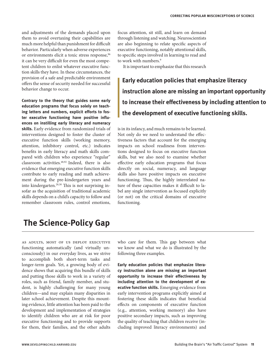and adjustments of the demands placed upon them to avoid overtaxing their capabilities are much more helpful than punishment for difficult behavior. Particularly when adverse experiences or environments elicit a toxic stress response,<sup>96</sup> it can be very difficult for even the most competent children to enlist whatever executive function skills they have. In these circumstances, the provision of a safe and predictable environment offers the sense of security needed for successful behavior change to occur.

**Contrary to the theory that guides some early education programs that focus solely on teaching letters and numbers, explicit efforts to foster executive functioning have positive influences on instilling early literacy and numeracy skills.** Early evidence from randomized trials of interventions designed to foster the cluster of executive function skills (working memory, attention, inhibitory control, etc.) indicates benefits in early literacy and math skills compared with children who experience "regular" classroom activities.48,92 Indeed, there is also evidence that emerging executive function skills contribute to early reading and math achievement during the pre-kindergarten years and into kindergarten. $^{28,30}$  This is not surprising insofar as the acquisition of traditional academic skills depends on a child's capacity to follow and remember classroom rules, control emotions,

focus attention, sit still, and learn on demand through listening and watching. Neuroscientists are also beginning to relate specific aspects of executive functioning, notably attentional skills, to specific steps involved in learning to read and to work with numbers.<sup>9</sup>

It is important to emphasize that this research

**Early education policies that emphasize literacy instruction alone are missing an important opportunity to increase their effectiveness by including attention to the development of executive functioning skills.**

is in its infancy, and much remains to be learned. Not only do we need to understand the effectiveness factors that account for the emerging impacts on school readiness from interventions designed to focus on executive function skills, but we also need to examine whether effective early education programs that focus directly on social, numeracy, and language skills also have positive impacts on executive functioning. Thus, the highly interrelated nature of these capacities makes it difficult to label any single intervention as focused explicitly (or not) on the critical domains of executive functioning.

# **The Science-Policy Gap**

as adults, most of us deploy executive functioning automatically (and virtually unconsciously) in our everyday lives, as we strive to accomplish both short-term tasks and longer-term goals. Yet, a growing body of evidence shows that acquiring this bundle of skills and putting those skills to work in a variety of roles, such as friend, family member, and student, is highly challenging for many young children—and may explain many disparities in later school achievement. Despite this mounting evidence, little attention has been paid to the development and implementation of strategies to identify children who are at risk for poor executive functioning and to provide supports for them, their families, and the other adults

who care for them. This gap between what we know and what we do is illustrated by the following three examples.

**Early education policies that emphasize literacy instruction alone are missing an important opportunity to increase their effectiveness by including attention to the development of executive function skills.** Emerging evidence from early intervention programs explicitly aimed at fostering these skills indicates that beneficial effects on components of executive function (e.g., attention, working memory) also have positive secondary impacts, such as improving the quality of teaching that children receive (including improved literacy environments) and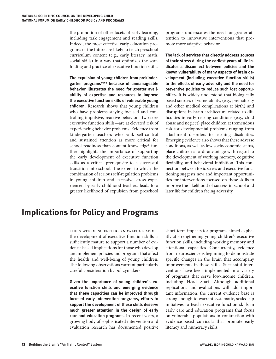the promotion of other facets of early learning, including task engagement and reading skills. Indeed, the most effective early education programs of the future are likely to teach preschool curriculum content (e.g., early literacy, math, social skills) in a way that optimizes the scaffolding and practice of executive function skills.

**The expulsion of young children from prekindergarten programs97,98 because of unmanageable behavior illustrates the need for greater availability of expertise and resources to improve the executive function skills of vulnerable young children.** Research shows that young children who have problems staying focused and controlling impulsive, reactive behavior—two core executive function skills—are at elevated risk of experiencing behavior problems. Evidence from kindergarten teachers who rank self-control and sustained attention as more critical for school readiness than content knowledge<sup>6</sup> further highlights the importance of supporting the early development of executive function skills as a critical prerequisite to a successful transition into school. The extent to which the combination of serious self-regulation problems in young children and excessive stress experienced by early childhood teachers leads to a greater likelihood of expulsion from preschool

programs underscores the need for greater attention to innovative interventions that promote more adaptive behavior.

**The lack of services that directly address sources of toxic stress during the earliest years of life indicates a disconnect between policies and the known vulnerability of many aspects of brain development (including executive function skills) to the effects of early adversity and the need for preventive policies to reduce such lost opportunities.** It is widely understood that biologically based sources of vulnerability, (e.g., prematurity and other medical complications at birth) and disruptions in brain architecture related to dif ficulties in early rearing conditions (e.g., child abuse and neglect) place children at tremendous risk for developmental problems ranging from attachment disorders to learning disabilities. Emerging evidence also shows that these adverse conditions, as well as low socioeconomic status, place children at a disadvantage with regard to the development of working memory, cognitive flexibility, and behavioral inhibition. This connection between toxic stress and executive functioning suggests new and important opportunities for interventions focused on these skills to improve the likelihood of success in school and later life for children facing adversity.

# **Implications for Policy and Programs**

THE STATE OF SCIENTIFIC KNOWLEDGE ABOUT the development of executive function skills is sufficiently mature to support a number of evidence-based implications for those who develop and implement policies and programs that affect the health and well-being of young children. The following observations warrant particularly careful consideration by policymakers.

**Given the importance of young children's executive function skills and emerging evidence that these capacities can be improved through focused early intervention programs, efforts to support the development of these skills deserve much greater attention in the design of early care and education programs.** In recent years, a growing body of sophisticated intervention and evaluation research has documented positive

short-term impacts for programs aimed explicitly at strengthening young children's executive function skills, including working memory and attentional capacities. Concurrently, evidence from neuroscience is beginning to demonstrate specific changes in the brain that accompany improvements in these skills. Successful interventions have been implemented in a variety of programs that serve low-income children, including Head Start. Although additional replications and evaluations will add important information, the current evidence base is strong enough to warrant systematic, scaled-up initiatives to teach executive function skills in early care and education programs that focus on vulnerable populations in conjunction with evidence-based curricula that promote early literacy and numeracy skills.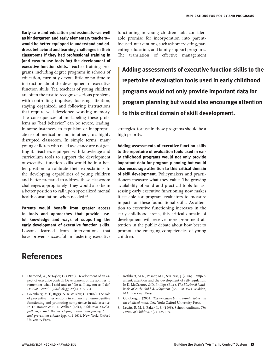**Early care and education professionals—as well as kindergarten and early elementary teachers would be better equipped to understand and address behavioral and learning challenges in their classrooms if they had professional training in (and easy-to-use tools for) the development of executive function skills.** Teacher training programs, including degree programs in schools of education, currently devote little or no time to instruction about the development of executive function skills. Yet, teachers of young children are often the first to recognize serious problems with controlling impulses, focusing attention, staying organized, and following instructions that require well-developed working memory. The consequences of mislabeling these problems as "bad behavior" can be severe, leading, in some instances, to expulsion or inappropriate use of medication and, in others, to a highly disrupted classroom. In simple terms, many young children who need assistance are not getting it. Teachers equipped with knowledge and curriculum tools to support the development of executive function skills would be in a better position to calibrate their expectations to the developing capabilities of young children and better prepared to address these classroom challenges appropriately. They would also be in a better position to call upon specialized mental health consultation, when needed.<sup>52</sup>

**Parents would benefit from greater access to tools and approaches that provide useful knowledge and ways of supporting the early development of executive function skills.**  Lessons learned from interventions that have proven successful in fostering executive

# **References**

- 1. Diamond, A., & Taylor, C. (1996). Development of an aspect of executive control: Development of the abilities to remember what I said and to "Do as I say, not as I do." *Developmental Psychobiology, 29*(4), 315-334.
- 2. Greenberg, M.T., Riggs, N.R. & Blair, C. (2007). The role of preventive interventions in enhancing neurocognitive functioning and promoting competence in adolescence. In D. Romer & E. F. Walker (Eds.), *Adolescent psychopathology and the developing brain: Integrating brain and prevention science* (pp. 441-461). New York: Oxford University Press.

functioning in young children hold considerable promise for incorporation into parentfocused interventions, such as home visiting, parenting education, and family support programs. The translation of effective management

**Adding assessments of executive function skills to the repertoire of evaluation tools used in early childhood programs would not only provide important data for program planning but would also encourage attention to this critical domain of skill development.**

strategies for use in these programs should be a high priority.

**Adding assessments of executive function skills to the repertoire of evaluation tools used in early childhood programs would not only provide important data for program planning but would also encourage attention to this critical domain of skill development.** Policymakers and practitioners measure what they value. The growing availability of valid and practical tools for assessing early executive functioning now makes it feasible for program evaluators to measure impacts on these foundational skills. As attention to executive functioning increases in the early childhood arena, this critical domain of development will receive more prominent attention in the public debate about how best to promote the emerging competencies of young children.

- 3. Rothbart, M.K., Posner, M.I., & Kieras, J. (2006). Temperament, attention and the development of self-regulation. In K. McCartney & D. Phillips (Eds.), *The Blackwell handbook of early child development* (pp. 328-357). Malden, MA: Blackwell Press.
- 4. Goldberg, E. (2001). *The executive brain: Frontal lobes and the civilized mind.* New York: Oxford University Press.
- 5. Lewitt, E. M. & Baker, L. S. (1995). School readiness. *The Future of Children, 5*(2), 128-139.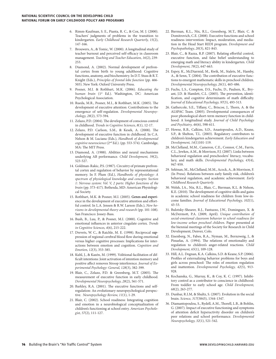- 6. Rimm-Kaufman, S. E., Pianta, R. C., & Cox, M. J. (2000). Teachers' judgments of problems in the transition to kindergarten. *Early Childhood Research Quarterly, 15*(2), 147-166.
- 7. Brouwers, A., & Tomic, W. (2000). A longitudinal study of teacher burnout and perceived self-efficacy in classroom management. *Teaching and Teacher Education, 16*(2), 239- 253.
- 8. Diamond, A. (2002). Normal development of prefrontal cortex from birth to young adulthood: Cognitive functions, anatomy, and biochemistry. In D.T. Stuss & R.T. Knight (Eds.), *Principles of frontal lobe function* (pp. 466- 503). New York: Oxford University Press.
- 9. Posner, M.I. & Rothbart, M.K. (2006). *Educating the*  human brain (1st Ed.). Washington, DC: American Psychological Association.
- 10. Rueda, M.R., Posner, M.I., & Rothbart, M.K. (2005). The development of executive attention: Contributions to the emergence of self-regulation. *Developmental Neuropsychology, 28*(2), 573-594.
- 11. Zelazo, P.D. (2004). The development of conscious control in childhood. *Trends in Cognitive Sciences, 8*(1), 12-17.
- 12. Zelazo, P.D. Carlson, S.M., & Kesek, A. (2008). The development of executive function in childhood. In C.A. Nelson & M. Luciana (Eds.), *Handbook of developmental cognitive neuroscience* (2nd Ed.). (pp. 553-574). Cambridge, MA: The MIT Press.
- 13. Diamond, A. (1988). Abilities and neural mechanisms underlying AB performance. *Child Development, 59*(2), 523-527.
- 14. Goldman-Rakic, P.S. (1987). Circuitry of primate prefrontal cortex and regulation of behavior by representational memory. In F. Plum (Ed.), *Handbooks of physiology: A spectrum of physiological knowledge and concepts: Section 1: Nervous system: Vol. V, 2 parts: Higher functions of the brain* (pp. 373-417). Bethesda, MD: American Physiological Society.
- 15. Rothbart, M.K. & Posner, M.I. (2005). Genes and experience in the development of executive attention and effortful control. In L.A. Jensen & R.W. Larson (Eds.), *New horizons in developmental theory and research* (pp. 101-108). San Francisco: Jossey-Bass.
- 16. Bush, B., Luu, P., & Posner, M.I. (2000). Cognitive and emotional influences in anterior cingulate cortex. Trends *in Cognitive Sciences, 4*(6), 215-222.
- 17. Drevets, W. C., & Raichle, M. E. (1998). Reciprocal suppression of regional cerebral blood flow during emotional versus higher cognitive processes: Implications for interactions between emotion and cognition. *Cognition and Emotion, 12*(3), 353-385.
- 18. Kuhl, J., & Kazén, M. (1999). Volitional facilitation of dif ficult intentions: Joint activation of intention memory and positive affect removes Stroop interference. *Journal of Experimental Psychology: General, 128*(3), 382-399.
- 19. Blair, C., Zelazo, P.D. & Greenberg, M.T. (2005). The measurement of executive function in early childhood. *Developmental Neuropsychology, 28*(2), 561-571.
- 20. Barkley, R.A. (2001). The executive functions and selfregulation: An evolutionary neuropsychological perspective. *Neuropsychology Review, 11*(1), 1-29.
- 21. Blair, C. (2002). School readiness: Integrating cognition and emotion in a neurobiological conceptualization of children's functioning at school entry. *American Psychologist, 57*(2), 111-127.
- 22. Bierman, K.L., Nix, R.L., Greenberg, M.T., Blair, C. & Domitrovich, C.E. (2008). Executive functions and school readiness intervention: Impact, moderation, and mediation in the Head Start REDI program. *Development and Psychopathology, 20*(3), 821-843.
- 23. Blair, C., & Razza, R.P. (2007). Relating effortful control, executive function, and false belief understanding to emerging math and literacy ability in kindergarten. *Child Development, 78*(2), 647-663.
- 24. Espey, K., McDiarmid, M., Kwik, M., Stalets, M., Hamby, A., & Senn, T. (2004). The contribution of executive functions to emergent mathematic skills in preschool children. *Developmental Neuropsychology, 26*(1), 465-486.
- 25. Fuchs, L.S., Compton, D.S., Fuchs, D., Paulsen, K., Bryant, J.D. & Hamlett, C.L. (2005). The prevention, identification, and cognitive determinants of math difficulty. *Journal of Educational Psychology, 97*(3), 493-513.
- 26. Gathercole, S.E., Tiffany, C., Briscoe, J., Thorn, A. & the ALSPAC Team. (2005). Developmental consequences of poor phonological short-term memory function in childhood: A longitudinal study. *Journal of Child Psychology and Psychiatry, 46*(6), 598-611.
- 27. Howse, R.B., Calkins, S.D., Anastopoulos, A.D., Keane, S.P., & Shelton, T.L. (2003). Regulatory contributors to children's kindergarten achievement. *Early Education and Development, 14*(1)101-119.
- 28. McClelland, M.M., Cameron, C.E., Connor, C.M., Farris, C.L., Jewkes, A.M., & Morrison, F.J. (2007). Links between behavioral regulation and preschoolers' literacy, vocabulary, and math skills. *Developmental Psychology, 43*(4), 947-959.
- 29. Sektnan, M., McClelland, M.M., Acock, A., & Morrison, F. (In Press). Relations between early family risk, children's behavioral regulation, and academic achievement. *Early Childhood Research Quarterly.*
- 30. Welsh, J.A., Nix, R.L., Blair, C., Bierman, K.L. & Nelson, K.E. (2010). The development of cognitive skills and gains in academic school readiness for children from low-income families. *Journal of Educational Psychology, 102*(1), 43-53.
- 31. Bulotsky-Shearer, R.J., Fantuzzo, J.W., Dominguez, X. & McDermott, P.A. (2009, April). *Unique contribution of social-emotional classroom behavior to school readiness for low-income urban preschool children.* Paper presented at the biennial meetings of the Society for Research in Child Development, Denver, Colo.
- 32. Eisenberg, N., Fabes, R.A., Nyman, M., Bernzweig, J., & Pinuelas, A. (1994). The relations of emotionality and regulation to children's anger-related reactions. *Child Development, 65*(1), 109-128.
- 33. Hill, A.L. Degnan, K.A. Calkins, S.D. & Keane, S.P. (2006). Profiles of externalizing behavior problems for boys and girls across preschool: The roles of emotion regulation and inattention. *Developmental Psychology, 42*(5), 913- 928.
- 34. Kochanska, G., Murray, K., & Coy, K. C. (1997). Inhibitory control as a contributor to conscience in childhood: From toddler to early school age. *Child Development, 68*(2), 263-277.
- 35. Dunbar, R.I.M, & Shultz, S. (2007). Evolution in the social brain. *Science, 317*(5843), 1344-1347.
- 36. Diamantopoulou, S., Rydell, A.M., Thorell, L.B., & Bohlin, G. (2007). Impact of executive functioning and symptoms of attention deficit hyperactivity disorder on children's peer relations and school performance. *Developmental Neuropsychology, 32*(1), 521-542.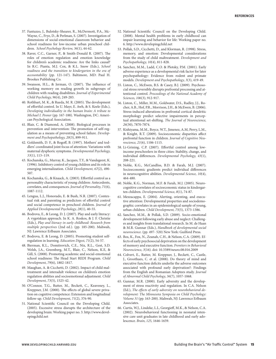- 37. Fantuzzo, J., Bulotsky-Shearer, R., McDermott, P.A., Mc-Wayne, C., Frye, D., & Perlman, S. (2007). Investigation of dimensions of social-emotional classroom behavior and school readiness for low-income urban preschool children. *School Psychology Review, 36*(1), 44-62.
- 38. Raver, C.C., Garner, P., & Smith-Donald R. (2007). The roles of emotion regulation and emotion knowledge for children's academic readiness: Are the links causal? In R.C. Pianta, M.J. Cox, & K.L. Snow (Eds.), *School readiness and the transition to kindergarten in the era of accountability* (pp. 121-147). Baltimore, MD: Paul H. Brookes Publishing Co.
- 39. Swanson, H.L., & Jerman, O. (2007). The influence of working memory on reading growth in subgroups of children with reading disabilities. *Journal of Experimental Child Psychology, 96*(4), 249-283.
- 40. Rothbart, M. K., & Rueda, M. R. (2005). The development of effortful control. In U. Mayr, E. Awh, & S. Keele (Eds.), *Developing individuality in the human brain: A tribute to Michael I. Posner* (pp. 167-188). Washington, DC: American Psychological Association.
- 41. Blair, C. & Diamond, A. (2008). Biological processes in prevention and intervention: The promotion of self-regulation as a means of preventing school failure. *Development and Psychopathology, 20*(3), 899-911.
- 42. Goldsmith, D. F., & Rogoff, B. (1997). Mothers' and toddlers' coordinated joint focus of attention: Variations with maternal dysphoric symptoms. *Developmental Psychology, 33*(1), 113–119.
- 43. Kochanska, G., Murray, K., Jacques, T.Y., & Vandegeest, K. (1996). Inhibitory control of young children and its role in emerging internalization. *Child Development, 67*(2), 490- 507.
- 44. Kochanska, G., & Knaack, A. (2003). Effortful control as a personality characteristic of young children: Antecedents, correlates, and consequences. *Journal of Personality, 71*(6), 1087-1112.
- 45. Lengua, L.J., Honorado, E. & Bush, N.R. (2007). Contextual risk and parenting as predictors of effortful control and social competence in preschool children. *Journal of Applied Developmental Psychology, 28*(1), 40-55.
- 46. Bodrova, E., & Leong, D. J. (2007). Play and early literacy: A vygotskian approach. In K. A. Roskos, & J. F. Christie (Eds.), *Play and literacy in early childhood: Research from multiple perspectives* (2nd ed.). (pp. 185-200). Mahwah, NJ: Lawrence Erlbaum Associates.
- 47. Bodrova, E. & Leong, D. (2005). Promoting student selfregulation in learning. *Education Digest, 71*(2), 54-57.
- 48. Bierman, K.L., Domitrovich, C.E., Nix, R.L., Gest, S.D. Welsh, J.A., Greenberg, M.T., Blair, C., Nelson, K.E, & Gill, S. (2008). Promoting academic and social-emotional school readiness: The Head Start REDI Program. *Child Development, 79*(6), 1802-1817.
- 49. Maughan, A. & Cicchetti, D. (2002). Impact of child maltreatment and interadult violence on children's emotion regulation abilities and socioemotional adjustment. *Child Development, 73*(5), 1525-42.
- 50. O'Connor, T.G., Rutter, M., Beckett, C., Keaveney, L., Kreppner, J.M. (2000). The effects of global severe privation on cognitive competence: Extension and longitudinal follow-up. *Child Development, 71*(2), 376-90.
- 51. National Scientific Council on the Developing Child. (2005). Excessive stress disrupts the architecture of the [developing brain: Working paper no. 3. http://www.devel](http://www.devel-opingchild.net)opingchild[.net](http://www.devel-opingchild.net)
- 52. National Scientific Council on the Developing Child. (2008). Mental health problems in early childhood can impair learning and behavior for life: Working paper no. 6.<http://www.developingchild.net>
- 53. Pollak, S.D., Cicchetti, D., and Klorman, R. (1998). Stress, memory, and emotion: Developmental considerations from the study of child maltreatment. *Development and Psychopathology, 10*(4), 811-828.
- 54. Sanchez, M.M., Ladd, C.O. & Plotsky, P.M. (2001). Early adverse experience as a developmental risk factor for later psychopathology: Evidence from rodent and primate models. *Development and Psychopathology, 3*(3), 419-49.
- 55. Liston, C., McEwen, B.S. & Casey, B.J. (2009). Psychosocial stress reversibly disrupts prefrontal processing and attentional control. *Proceedings of the National Academy of Sciences, 106*(3), 912-917.
- 56. Liston, C., Miller, M.M., Goldwater, D.S., Radley, J.J., Rocher, A.B., Hof, P.R., Morrison, J.H., & McEwen, B. (2006). Stress-induced alterations in prefrontal cortical dendritic morphology predict selective impairments in perceptual attentional set-shifting. The Journal of Neuroscience, *26*(30), 7870-7874.
- 57. Kishiyama, M.M., Boyce, W.T., Jimenez, A.M, Perry, L.M., & Knight, R.T. (2009). Socioeconomic disparities affect prefrontal function in children. *Journal of Cognitive Neuroscience, 21*(6), 1106-1115.
- 58. Li-Grining, C.P. (2007). Effortful control among lowincome preschoolers in three cities: Stability, change, and individual differences. *Developmental Psychology*, 43(1), 208-221.
- 59. Noble, K.G., McCandliss, B.D. & Farah, M.J. (2007). Socioeconomic gradients predict individual differences in neurocognitive abilities. *Developmental Science, 10*(4), 464-480.
- 60. Noble, K.G., Norman, M.F. & Farah, M.J. (2005). Neurocognitive correlates of socioeconomic status in kindergarten children. *Developmental Science, 8*(1), 74-87.
- 61. Mezzacappa, E. (2004). Alerting, orienting, and executive attention: Developmental properties and sociodemographic correlates in an epidemiological sample of young, urban children. *Child Development, 75*(5), 1373-1386.
- 62. Sanchez, M.M., & Pollak, S.D. (2009). Socio-emotional development following early abuse and neglect: Challenges and insights from translational research. In M. de Haan & M.R. Gunnar (Eds.), *Handbook of developmental social neuroscience*. (pp. 497- 520) New York: Guilford Press.
- 63. Bos, K., Fox, N., Zeanah, C.H., & Nelson, C.A. (2009). Effects of early psychosocial deprivation on the development of memory and executive function. *Frontiers in Behavioral Neuroscience, 3*(16). doi: 10.3389/neuro.08.016.2009
- 64. Colvert, E., Rutter, M. Kreppner, J., Beckett, C., Castle, J., Groothues, C. et al. (2008). Do theory of mind and executive function deficits underlie the adverse outcomes associated with profound early deprivation?: Findings from the English and Romanian Adoptees study. *Journal of Abnormal Child Psychology, 36*(7), 1057-1068.
- 65. Gunnar, M.R. (2000). Early adversity and the development of stress reactivity and regulation. In C.A. Nelson (Ed.), *The effects of early adversity on neurobehavioral development: The Minnesota Symposia on Child Psychology: Volume 31* (pp. 163-200). Mahwah, NJ: Lawrence Erlbaum Associates.
- 66. Curtis, W.J., Lindeke, L.L, Georgieff, M.K., & Nelson, C.A. (2002). Neurobehavioral functioning in neonatal intensive care unit graduates in late childhood and early adolescence. *Brain, 125,* 1646-1659.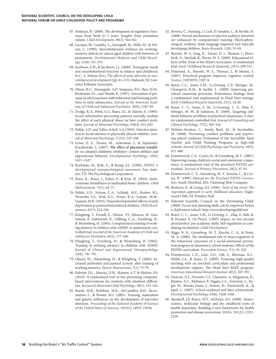- 67. Feldman, R. (2009). The development of regulatory functions from birth to 5 years: Insights from premature infants. *Child Development, 80*(2), 544-561.
- 68. Luciana, M., Lindeke, L., Georgieff, M., Mills, M., & Nelson, C. (1999). Neurobehavioral evidence for workingmemory deficits in school-aged children with histories of prematurity. *Developmental Medicine and Child Neurology, 41*(8), 521-533.
- 69. Jacobson, S.W., & Jacobson, J.L. (2000). Teratogenic insult and neurobehavioral function in infancy and childhood. In C. A. Nelson (Ed.), *The effects of early adversity on neurobehavioral development* (pp. 61-113). Mahwah, NJ: Lawrence Erlbaum Associates.
- 70. Olson, H.C., Streissguth, A.P., Sampson, P.O., Barr, H.M., Bookstein, F.L., and Theide, K. (1997). Association of prenatal alcohol exposure with behavioral and learning problems in early adolescence. *Journal of the American Academy of Child and Adolescent Psychiatry, 36*(9), 1187-94.
- 71. Dodge, K.A., Pettit, G.S., Bates, J.E., & Valente, E. (1995). Social information-processing patterns partially mediate the effect of early physical abuse on later conduct problems. *Journal of Abnormal Psychology, 104*(4), 632-643.
- 72. Pollak, S.D. and Tolley-Schell, S.A.(2003). Selective attention to facial emotion in physically abused children. *Journal of Abnormal Psychology, 112*(3), 323-338.
- 73. Lewis, E. E., Dozier, M., Ackerman, J., & Sepulveda-Kozakowski, S. (2007). The effect of placement instability on adopted children's inhibitory control abilities and oppositional behavior. *Developmental Psychology, 43*(6), 1415–1427.
- 74. Korkman, M., Kirk, U., & Kemp, S.L. (1998). *NEPSY: A developmental neuropsychological assessment.* San Antonio, TX: The Psychological Corporation.
- 75. Pears, K., Bruce, J., Fisher, P., & Kim, H. (2010). Indiscriminate friendliness in maltreated foster children. *Child Maltreatment, 15*(1), 64-75.
- 76. Pollak, S.D., Nelson, C.A., Schlaak, M.F., Roeber, B.J., Wewerka, S.S., Wiik, K.L., Frenn, K.A., Loman, M.M., Gunnar, M.R. (2010). Neurodevelopmental effects of early deprivation in postinstitutionalized children. *Child Development, 81*(1), 224-236.
- 77. Klingberg, T., Fernell, E., Olesen, P.J., Johnson, M., Gustafsson, P., Dahlström, K., Gillberg, C.,G., Forssberg, H., & Westerberg, H. (2005). Computerized training of working memory in children with ADHD: A randomized, controlled trial. *Journal of the American Academy of Child and Adolescent Psychiatry, 44*(2), 177-186.
- 78. Klingberg, T., Forssberg, H., & Westerberg, H. (2002). Training of working memory in children with ADHD. *Journal of Clinical and Experimental Neuropsychology, 24*(6), 781-791.
- 79. Olesen, P.J., Westerberg, H., & Klingberg, T. (2004). Increased prefrontal and parietal activity after training of working memory. *Nature Neuroscience, 7*(1), 75-79.
- 80. Rabiner, D.L., Murray, D.W., Skinner, A.T. & Malone, P.S. (2010). A randomized trial of two promising computerbased interventions for students with attention difficulties. *Journal of Abnormal Child Psychology, 38*(1), 131-142.
- 81. Rueda, M.R., Rothbart, M.K., McCandliss, B.D., Saccomanno, L., & Posner, M.I. (2005). Training, maturation and genetic influences on the development of executive attention. *Proceedings of the National Academy of Sciences of the United States of America, 102*(41), 14931-14936.
- 82. Stevens, C., Fanning, J. Coch, D. Sanders, L., & Neville, H. (2008). Neural mechanisms of selective auditory attention are enhanced by computerized training: Electrophysiological evidence from language-impaired and typically developing children. *Brain Research, 1205,* 55-69.
- 83. Barnett, W. S., Jung, K., Yarosz, D. J., Thomas, J., Hornbeck, A., Stechuk, R., Burns, M. S. (2008). Educational effects of the Tools of the Mind Curriculum: A randomized trial. *Early Childhood Research Quarterly, 23*(3), 299-313.
- 84. Diamond, A., Barnett, W. S., Thomas, J., & Munro, S. (2007). Preschool program improves cognitive control. *Science, 318*(5855), 1387-8.
- 85. Raver, C.C., Jones, S.M., Li-Grining, C.P., Metzger, M., Champion, K.M., & Sardin, L. (2008). Improving preschool classroom processes: Preliminary findings from a randomized trial implemented in Head Start settings. *Early Childhood Research Quarterly, 23*(1), 10-26.
- 86. Raver, C. C., Jones, S. M., Li-Grining, C. P., Zhai, F., Metzger, M. W., & Solomon, B. (2009). Targeting children's behavior problems in preschool classrooms: A cluster-randomized controlled trial. *Journal of Consulting and Clinical Psychology, 77*(2), 302-316.
- 87. Webster-Stratton, C., Jamila Reid, M., & Stoolmiller. M. (2008). Preventing conduct problems and improving school readiness: Evaluation of the Incredible Years Teacher and Child Training Programs in high-risk schools. *Journal of Child Psychology and Psychiatry, 49*(5), 471-488.
- 88. Domitrovich, C.E., Cortes, R., & Greenberg, M.T. (2007). Improving young children's social and emotional competence: A randomized trial of the preschool PATHS curriculum. *Journal of Primary Prevention, 28*(2), 67-91.
- 89. Domitrovich, C. E., Greenberg, M. T., Kusche, C., & Cortes, R. (1999). *Manual for the Preschool PATHS Curricu*lum. South Deerfield, MA: Channing-Bete Company.
- 90. Bodrova, E., & Leong, D.J. (1996). *Tools of the mind: The vygotskian approach to early childhood education.* Englewood Cliffs, NJ: Prentice Hall.
- 91. National Scientific Council on the Developing Child. (2008). Focus and planning skills can be improved before a child enters school. <http://www.developingchild.net>
- 92. Raver, C. C., Jones, S.M., Li-Grining, C., Zhai, F., Bub, K, & Pressler, E. (In Press). CSRP's impact on low-income preschoolers' pre-academic skills: Self-regulation as a mediating mechanism. *Child Development.*
- 93. Riggs, N. R., Greenberg, M. T., Kusché, C. A., & Pentz, M. A. (2006). The mediational role of neurocognition in the behavioral outcomes of a social-emotional prevention program in elementary school students: Effects of the PATHS curriculum. *Prevention Science, 7*(1), 91-102.
- 94. Domitrovich, C.E., Gest, S.D., Gill, S., Bierman, K.L., Welsh, J.A., & Jones, D. (2009). Fostering high-quality teaching with an enriched curriculum and professional development support: The Head Start REDI program. *American Educational Research Journal, 46*(2), 567-597.
- 95. Duncan, G.J., Dowsett, C.J., Claessens, A, Magnuson, K., Huston, A.C., Klebanov, P., Pagani, L.S.., Feinstein, L., Engel, M., Brooks-Gunn, J., Sexton, H., Duckworth, K., & Japel, C. (2007). School readiness and later achievement. *Developmental Psychology, 43*(6), 1428-1446.
- 96. Shonkoff, J.P. Boyce, W.T., McEwen, B.S. (2009). Neuroscience, molecular biology and the childhood roots of health disparities: Building a new framework for health promotion and disease prevention. *JAMA, 301*(21), 2252- 2259.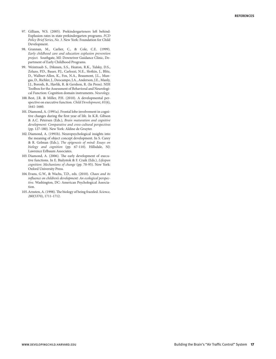- 97. Gilliam, W.S. (2005). Prekindergarteners left behind: Explusion rates in state prekindergarten programs. *FCD Policy Brief Series, No. 3.* New York: Foundation for Child Development.
- 98. Grannan, M., Carlier, C., & Cole, C.E. (1999). *Early childhood care and education explusion prevention project.* Southgate, MI: Downriver Guidance Clinic, Department of Early Childhood Programs.
- 99. Weintraub S., Dikmen, S.S., Heaton, R.K., Tulsky, D.S., Zelazo, P.D., Bauer, P.J., Carlozzi, N.E., Slotkin, J., Blitz, D., Wallner-Allen, K., Fox, N.A., Beaumont, J.L., Mungas, D., Richler, J., Deocampo, J.A., Anderson, J.E., Manly, J.J., Borosh, B., Havlik, R. & Gershon, R. (In Press). NIH Toolbox for the Assessment of Behavioral and Neurological Function: Cognition domain instruments. *Neurology.*
- 100. Best, J.R. & Miller, P.H. (2010). A developmental perspective on executive function. *Child Development, 81*(6), 1641-1660.
- 101. Diamond, A. (1991a). Frontal lobe involvement in cognitive changes during the first year of life. In K.R. Gibson & A.C. Petersen (Eds.), *Brain maturation and cognitive development: Comparative and cross-cultural perspectives*  (pp. 127-180). New York: Aldine de Gruyter.
- 102. Diamond, A. (1991b). Neuropsychological insights into the meaning of object concept development. In S. Carey & R. Gelman (Eds.), *The epigenesis of mind: Essays on biology and cognition* (pp. 67-110). Hillsdale, NJ: Lawrence Erlbaum Associates.
- 103. Diamond, A. (2006). The early development of executive functions. In E. Bialystok & F. Craik (Eds.), *Lifespan cognition: Mechanisms of change* (pp. 70-95). New York: Oxford University Press.
- 104. Evans, G.W., & Wachs, T.D., eds. (2010). Chaos and its influence on children's development: An ecological perspective. Washington, DC: American Psychological Association.
- 105. Arnsten, A. (1998). The biology of being frazzled. Science, 280(5370), 1711-1712.